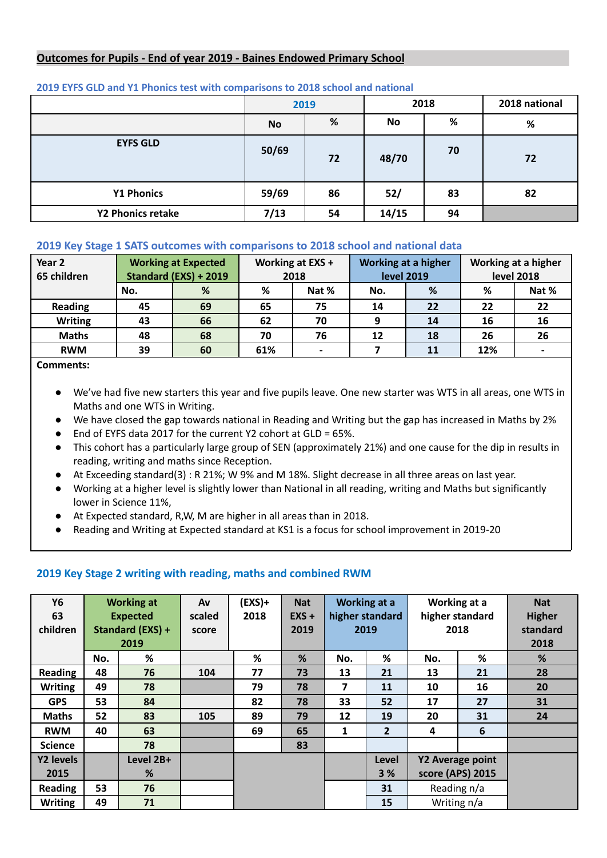## **Outcomes for Pupils - End of year 2019 - Baines Endowed Primary School**

|                   |           | 2019 | 2018  |    | 2018 national |
|-------------------|-----------|------|-------|----|---------------|
|                   | <b>No</b> | %    | No    | %  | %             |
| <b>EYFS GLD</b>   | 50/69     | 72   | 48/70 | 70 | 72            |
| <b>Y1 Phonics</b> | 59/69     | 86   | 52/   | 83 | 82            |
| Y2 Phonics retake | 7/13      | 54   | 14/15 | 94 |               |

#### **2019 EYFS GLD and Y1 Phonics test with comparisons to 2018 school and national**

## **2019 Key Stage 1 SATS outcomes with comparisons to 2018 school and national data**

| Year 2<br>65 children | <b>Working at Expected</b><br>Standard (EXS) + 2019 |    | Working at EXS +<br>2018 |    | <b>Working at a higher</b><br><b>level 2019</b> |    | Working at a higher<br><b>level 2018</b> |       |
|-----------------------|-----------------------------------------------------|----|--------------------------|----|-------------------------------------------------|----|------------------------------------------|-------|
|                       | No.                                                 | %  | %<br>Nat %               |    | No.                                             | %  | ℅                                        | Nat % |
| <b>Reading</b>        | 45                                                  | 69 | 65                       | 75 | 14                                              | 22 | 22                                       | 22    |
| <b>Writing</b>        | 43                                                  | 66 | 62                       | 70 | q                                               | 14 | 16                                       | 16    |
| <b>Maths</b>          | 48                                                  | 68 | 70                       | 76 | 12                                              | 18 | 26                                       | 26    |
| <b>RWM</b>            | 39                                                  | 60 | 61%                      |    |                                                 | 11 | 12%                                      |       |

**Comments:**

- We've had five new starters this year and five pupils leave. One new starter was WTS in all areas, one WTS in Maths and one WTS in Writing.
- We have closed the gap towards national in Reading and Writing but the gap has increased in Maths by 2%
- End of EYFS data 2017 for the current Y2 cohort at GLD = 65%.
- This cohort has a particularly large group of SEN (approximately 21%) and one cause for the dip in results in reading, writing and maths since Reception.
- At Exceeding standard(3) : R 21%; W 9% and M 18%. Slight decrease in all three areas on last year.
- Working at a higher level is slightly lower than National in all reading, writing and Maths but significantly lower in Science 11%,
- At Expected standard, R,W, M are higher in all areas than in 2018.
- Reading and Writing at Expected standard at KS1 is a focus for school improvement in 2019-20

### **2019 Key Stage 2 writing with reading, maths and combined RWM**

| <b>Y6</b><br>63<br>children |     | <b>Working at</b><br><b>Expected</b><br>Standard (EXS) +<br>2019 | Av<br>scaled<br>score | $(EXS) +$<br>2018 | <b>Nat</b><br>$EXS +$<br>2019 |                        | Working at a<br>higher standard<br>2019 | Working at a<br>higher standard<br>2018 |    | <b>Nat</b><br><b>Higher</b><br>standard<br>2018 |
|-----------------------------|-----|------------------------------------------------------------------|-----------------------|-------------------|-------------------------------|------------------------|-----------------------------------------|-----------------------------------------|----|-------------------------------------------------|
|                             | No. | %                                                                |                       | %                 | %                             | No.                    | %                                       | No.                                     | %  | %                                               |
| Reading                     | 48  | 76                                                               | 104                   | 77                | 73                            | 13                     | 21                                      | 13                                      | 21 | 28                                              |
| <b>Writing</b>              | 49  | 78                                                               |                       | 79                | 78                            | 7                      | 11                                      | 10                                      | 16 | 20                                              |
| <b>GPS</b>                  | 53  | 84                                                               |                       | 82                | 78                            | 33                     | 52                                      | 17                                      | 27 | 31                                              |
| <b>Maths</b>                | 52  | 83                                                               | 105                   | 89                | 79                            | 12                     | 19                                      | 20                                      | 31 | 24                                              |
| <b>RWM</b>                  | 40  | 63                                                               |                       | 69                | 65                            | 1                      | $\overline{2}$                          | 4                                       | 6  |                                                 |
| <b>Science</b>              |     | 78                                                               |                       |                   | 83                            |                        |                                         |                                         |    |                                                 |
| Y2 levels                   |     | Level 2B+                                                        |                       |                   |                               |                        | Level<br><b>Y2 Average point</b>        |                                         |    |                                                 |
| 2015                        |     | %                                                                |                       |                   |                               | score (APS) 2015<br>3% |                                         |                                         |    |                                                 |
| <b>Reading</b>              | 53  | 76                                                               |                       |                   |                               |                        | 31                                      | Reading n/a                             |    |                                                 |
| <b>Writing</b>              | 49  | 71                                                               |                       |                   |                               | 15                     |                                         | Writing n/a                             |    |                                                 |